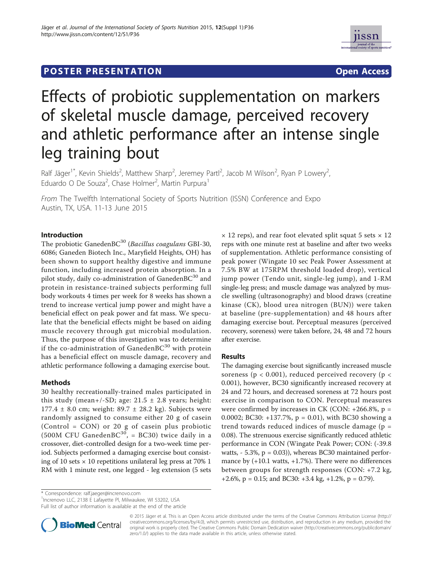## **POSTER PRESENTATION CONSUMING THE SERVICE SERVICE SERVICES**



# Effects of probiotic supplementation on markers of skeletal muscle damage, perceived recovery and athletic performance after an intense single leg training bout

Ralf Jäger<sup>1\*</sup>, Kevin Shields<sup>2</sup>, Matthew Sharp<sup>2</sup>, Jeremey Partl<sup>2</sup>, Jacob M Wilson<sup>2</sup>, Ryan P Lowery<sup>2</sup> , Eduardo O De Souza<sup>2</sup>, Chase Holmer<sup>2</sup>, Martin Purpura<sup>1</sup>

From The Twelfth International Society of Sports Nutrition (ISSN) Conference and Expo Austin, TX, USA. 11-13 June 2015

## Introduction

The probiotic Ganeden $BC^{30}$  (Bacillus coagulans GBI-30, 6086; Ganeden Biotech Inc., Maryfield Heights, OH) has been shown to support healthy digestive and immune function, including increased protein absorption. In a pilot study, daily co-administration of Ganeden $BC^{30}$  and protein in resistance-trained subjects performing full body workouts 4 times per week for 8 weeks has shown a trend to increase vertical jump power and might have a beneficial effect on peak power and fat mass. We speculate that the beneficial effects might be based on aiding muscle recovery through gut microbial modulation. Thus, the purpose of this investigation was to determine if the co-administration of GanedenBC $30$  with protein has a beneficial effect on muscle damage, recovery and athletic performance following a damaging exercise bout.

#### Methods

30 healthy recreationally-trained males participated in this study (mean+/-SD; age:  $21.5 \pm 2.8$  years; height: 177.4  $\pm$  8.0 cm; weight: 89.7  $\pm$  28.2 kg). Subjects were randomly assigned to consume either 20 g of casein (Control = CON) or 20 g of casein plus probiotic (500M CFU GanedenBC<sup>30</sup>, = BC30) twice daily in a crossover, diet-controlled design for a two-week time period. Subjects performed a damaging exercise bout consisting of 10 sets  $\times$  10 repetitions unilateral leg press at 70% 1 RM with 1 minute rest, one legged - leg extension (5 sets

 $\times$  12 reps), and rear foot elevated split squat 5 sets  $\times$  12 reps with one minute rest at baseline and after two weeks of supplementation. Athletic performance consisting of peak power (Wingate 10 sec Peak Power Assessment at 7.5% BW at 175RPM threshold loaded drop), vertical jump power (Tendo unit, single-leg jump), and 1-RM single-leg press; and muscle damage was analyzed by muscle swelling (ultrasonography) and blood draws (creatine kinase (CK), blood urea nitrogen (BUN)) were taken at baseline (pre-supplementation) and 48 hours after damaging exercise bout. Perceptual measures (perceived recovery, soreness) were taken before, 24, 48 and 72 hours after exercise.

## Results

The damaging exercise bout significantly increased muscle soreness ( $p < 0.001$ ), reduced perceived recovery ( $p <$ 0.001), however, BC30 significantly increased recovery at 24 and 72 hours, and decreased soreness at 72 hours post exercise in comparison to CON. Perceptual measures were confirmed by increases in CK (CON:  $+266.8\%$ , p = 0.0002; BC30: +137.7%, p = 0.01), with BC30 showing a trend towards reduced indices of muscle damage ( $p =$ 0.08). The strenuous exercise significantly reduced athletic performance in CON (Wingate Peak Power; CON: (-39.8 watts,  $-5.3\%$ ,  $p = 0.03$ ), whereas BC30 maintained performance by (+10.1 watts, +1.7%). There were no differences between groups for strength responses (CON: +7.2 kg, +2.6%,  $p = 0.15$ ; and BC30: +3.4 kg, +1.2%,  $p = 0.79$ ).

\* Correspondence: ralf.jaeger@increnovo.com

<sup>1</sup>Increnovo LLC, 2138 E Lafayette Pl, Milwaukee, WI 53202, USA

Full list of author information is available at the end of the article



© 2015 Jäger et al. This is an Open Access article distributed under the terms of the Creative Commons Attribution License (http:// creativecommons.org/licenses/by/4.0), which permits unrestricted use, distribution, and reproduction in any medium, provided the original work is properly cited. The Creative Commons Public Domain Dedication waiver (http://creativecommons.org/publicdomain/ zero/1.0/) applies to the data made available in this article, unless otherwise stated.